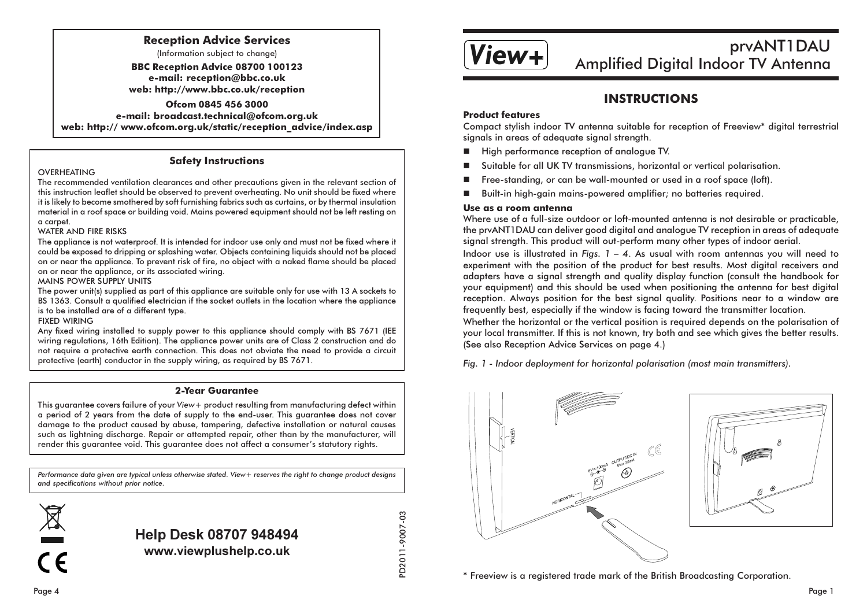### **Reception Advice Services**

(Information subject to change)

**BBC Reception Advice 08700 100123** e-mail: reception@bbc.co.uk web: http://www.bbc.co.uk/reception

Ofcom 0845 456 3000 e-mail: broadcast.technical@ofcom.org.uk web: http:// www.ofcom.org.uk/static/reception advice/index.asp

### **Safety Instructions**

### OVERHEATING

The recommended ventilation clearances and other precautions given in the relevant section of this instruction leaflet should be observed to prevent overheating. No unit should be fixed where it is likely to become smothered by soft furnishing fabrics such as curtains, or by thermal insulation material in a roof space or building void. Mains powered equipment should not be left resting on a carpet.

### **WATER AND FIRE RISKS**

The appliance is not waterproof. It is intended for indoor use only and must not be fixed where it could be exposed to dripping or splashing water. Objects containing liquids should not be placed on or near the appliance. To prevent risk of fire, no object with a naked flame should be placed on or near the appliance, or its associated wiring.

### MAINS POWER SUPPLY UNITS

The power unit(s) supplied as part of this appliance are suitable only for use with 13 A sockets to BS 1363. Consult a qualified electrician if the socket outlets in the location where the appliance is to be installed are of a different type.

#### **FIXED WIRING**

Any fixed wiring installed to supply power to this appliance should comply with BS 7671 (IEE wiring regulations. 16th Edition). The appliance power units are of Class 2 construction and do not require a protective earth connection. This does not obviate the need to provide a circuit protective (earth) conductor in the supply wiring, as required by BS 7671.

### **2-Year Guarantee**

This quarantee covers failure of your View+ product resulting from manufacturing defect within a period of 2 years from the date of supply to the end-user. This quarantee does not cover damage to the product caused by abuse, tampering, defective installation or natural causes such as lightning discharge. Repair or attempted repair, other than by the manufacturer, will render this guarantee void. This guarantee does not affect a consumer's statutory rights.

Performance data given are typical unless otherwise stated. View+ reserves the right to change product designs and specifications without prior notice.



**Help Desk 08707 948494** www.viewplushelp.co.uk

PD2011-9007-03



# prvANT1DAU Amplified Digital Indoor TV Antenna

## **INSTRUCTIONS**

### **Product features**

Compact stylish indoor TV antenna suitable for reception of Freeview\* digital terrestrial signals in areas of adequate signal strength.

- High performance reception of analogue TV.
- Suitable for all UK TV transmissions, horizontal or vertical polarisation.
- Free-standing, or can be wall-mounted or used in a roof space (loft).
- Built-in high-gain mains-powered amplifier; no batteries required.  $\mathbf{r}$

### Use as a room antenna

Where use of a full-size outdoor or loft-mounted antenna is not desirable or practicable, the prvANT1DAU can deliver good digital and analogue TV reception in areas of adequate signal strength. This product will out-perform many other types of indoor aerial.

Indoor use is illustrated in Figs.  $1 - 4$ . As usual with room antennas you will need to experiment with the position of the product for best results. Most digital receivers and adapters have a signal strength and quality display function (consult the handbook for your equipment) and this should be used when positioning the antenna for best digital reception. Always position for the best signal quality. Positions near to a window are frequently best, especially if the window is facing toward the transmitter location.

Whether the horizontal or the vertical position is required depends on the polarisation of your local transmitter. If this is not known, try both and see which gives the better results. (See also Reception Advice Services on page 4.)

Fig. 1 - Indoor deployment for horizontal polarisation (most main transmitters).



\* Freeview is a registered trade mark of the British Broadcasting Corporation.